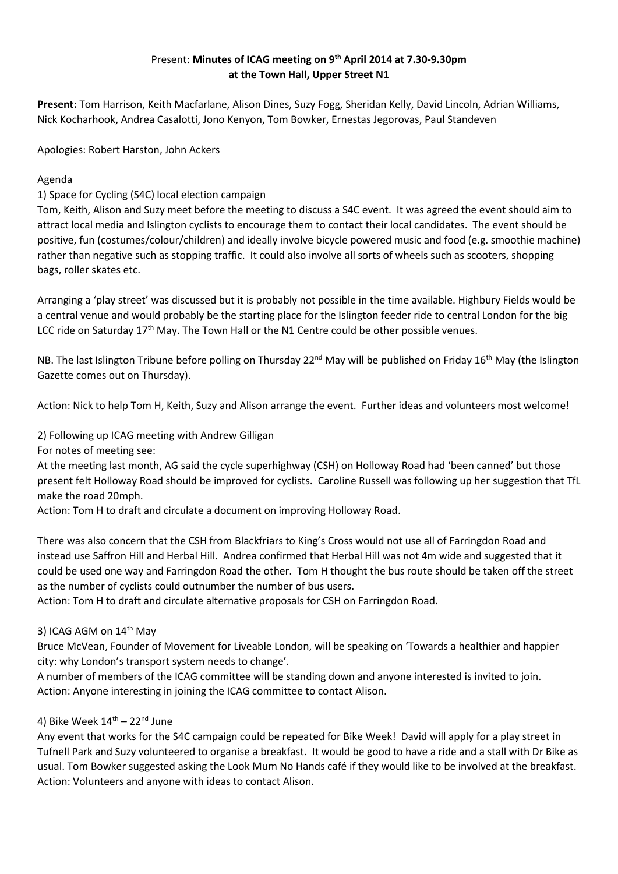# Present: **Minutes of ICAG meeting on 9 th April 2014 at 7.30-9.30pm at the Town Hall, Upper Street N1**

**Present:** Tom Harrison, Keith Macfarlane, Alison Dines, Suzy Fogg, Sheridan Kelly, David Lincoln, Adrian Williams, Nick Kocharhook, Andrea Casalotti, Jono Kenyon, Tom Bowker, Ernestas Jegorovas, Paul Standeven

Apologies: Robert Harston, John Ackers

Agenda

1) Space for Cycling (S4C) local election campaign

Tom, Keith, Alison and Suzy meet before the meeting to discuss a S4C event. It was agreed the event should aim to attract local media and Islington cyclists to encourage them to contact their local candidates. The event should be positive, fun (costumes/colour/children) and ideally involve bicycle powered music and food (e.g. smoothie machine) rather than negative such as stopping traffic. It could also involve all sorts of wheels such as scooters, shopping bags, roller skates etc.

Arranging a 'play street' was discussed but it is probably not possible in the time available. Highbury Fields would be a central venue and would probably be the starting place for the Islington feeder ride to central London for the big LCC ride on Saturday  $17<sup>th</sup>$  May. The Town Hall or the N1 Centre could be other possible venues.

NB. The last Islington Tribune before polling on Thursday 22<sup>nd</sup> May will be published on Friday 16<sup>th</sup> May (the Islington Gazette comes out on Thursday).

Action: Nick to help Tom H, Keith, Suzy and Alison arrange the event. Further ideas and volunteers most welcome!

2) Following up ICAG meeting with Andrew Gilligan

For notes of meeting see:

At the meeting last month, AG said the cycle superhighway (CSH) on Holloway Road had 'been canned' but those present felt Holloway Road should be improved for cyclists. Caroline Russell was following up her suggestion that TfL make the road 20mph.

Action: Tom H to draft and circulate a document on improving Holloway Road.

There was also concern that the CSH from Blackfriars to King's Cross would not use all of Farringdon Road and instead use Saffron Hill and Herbal Hill. Andrea confirmed that Herbal Hill was not 4m wide and suggested that it could be used one way and Farringdon Road the other. Tom H thought the bus route should be taken off the street as the number of cyclists could outnumber the number of bus users.

Action: Tom H to draft and circulate alternative proposals for CSH on Farringdon Road.

#### 3) ICAG AGM on 14<sup>th</sup> May

Bruce McVean, Founder of Movement for Liveable London, will be speaking on 'Towards a healthier and happier city: why London's transport system needs to change'.

A number of members of the ICAG committee will be standing down and anyone interested is invited to join. Action: Anyone interesting in joining the ICAG committee to contact Alison.

## 4) Bike Week  $14^{\text{th}}$  – 22<sup>nd</sup> June

Any event that works for the S4C campaign could be repeated for Bike Week! David will apply for a play street in Tufnell Park and Suzy volunteered to organise a breakfast. It would be good to have a ride and a stall with Dr Bike as usual. Tom Bowker suggested asking the Look Mum No Hands café if they would like to be involved at the breakfast. Action: Volunteers and anyone with ideas to contact Alison.